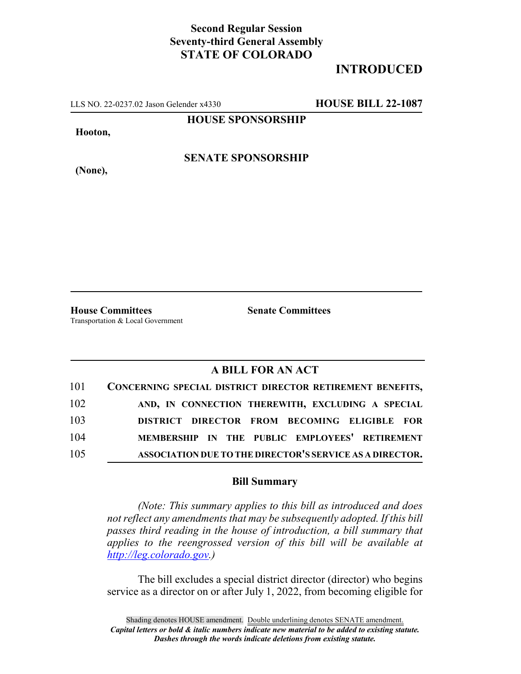## **Second Regular Session Seventy-third General Assembly STATE OF COLORADO**

## **INTRODUCED**

LLS NO. 22-0237.02 Jason Gelender x4330 **HOUSE BILL 22-1087**

**HOUSE SPONSORSHIP**

**Hooton,**

**SENATE SPONSORSHIP**

**(None),**

**House Committees Senate Committees** Transportation & Local Government

## **A BILL FOR AN ACT**

| 101 | CONCERNING SPECIAL DISTRICT DIRECTOR RETIREMENT BENEFITS, |
|-----|-----------------------------------------------------------|
| 102 | AND, IN CONNECTION THEREWITH, EXCLUDING A SPECIAL         |
| 103 | DISTRICT DIRECTOR FROM BECOMING ELIGIBLE FOR              |
| 104 | MEMBERSHIP IN THE PUBLIC EMPLOYEES' RETIREMENT            |
| 105 | ASSOCIATION DUE TO THE DIRECTOR'S SERVICE AS A DIRECTOR.  |

## **Bill Summary**

*(Note: This summary applies to this bill as introduced and does not reflect any amendments that may be subsequently adopted. If this bill passes third reading in the house of introduction, a bill summary that applies to the reengrossed version of this bill will be available at http://leg.colorado.gov.)*

The bill excludes a special district director (director) who begins service as a director on or after July 1, 2022, from becoming eligible for